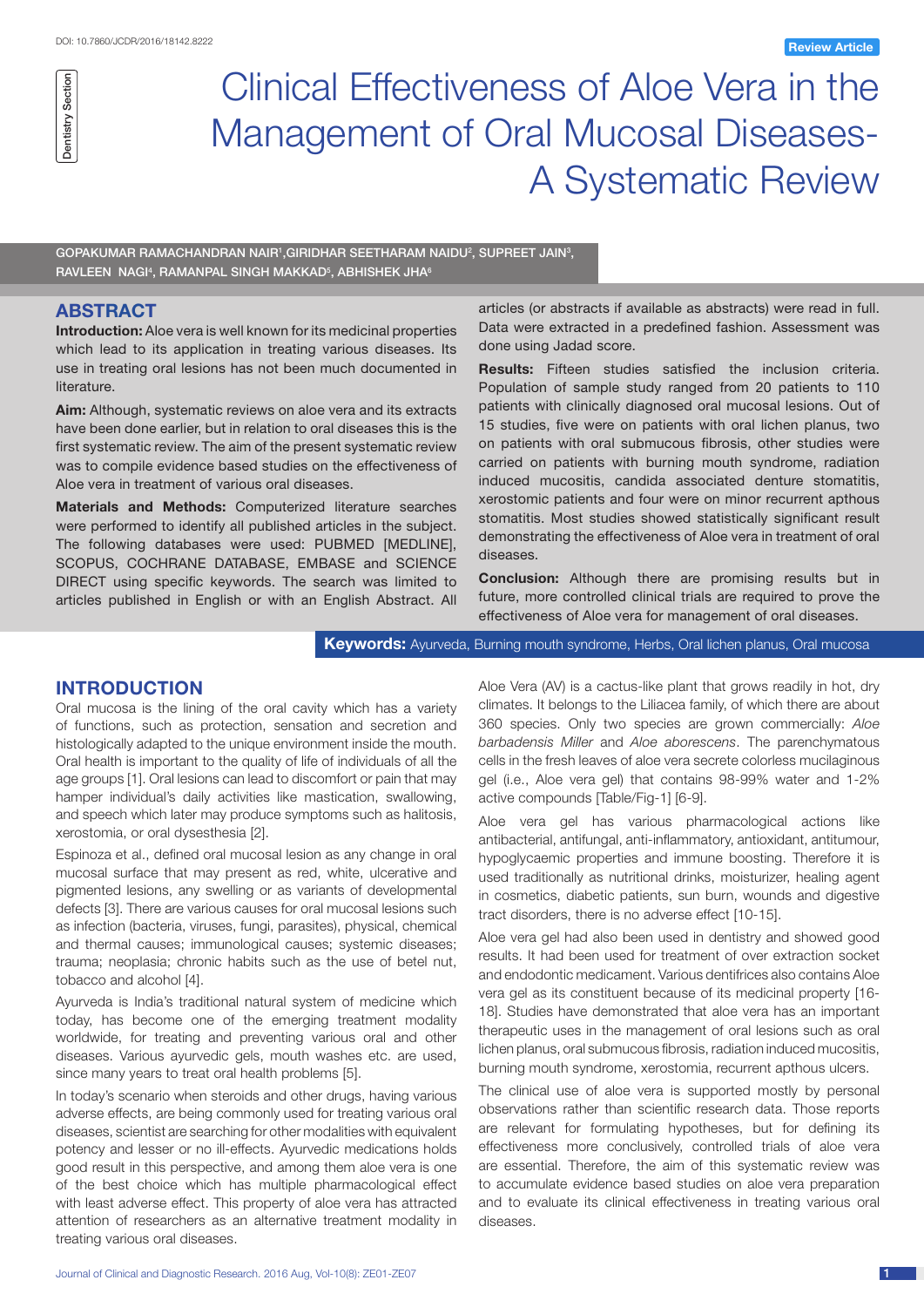

# Clinical Effectiveness of Aloe Vera in the Management of Oral Mucosal Diseases-A Systematic Review

GOPAKUMAR RAMACHANDRAN NAIR1,GIRIDHAR SEETHARAM NAIDU<del>'</del>, SUPREET JAIN<sup>3</sup>, RAVLEEN NAGI<sup>4</sup>, RAMANPAL SINGH MAKKAD<sup>5</sup>, ABHISHEK JHA<sup>6</sup>

# **ABSTRACT**

**Introduction:** Aloe vera is well known for its medicinal properties which lead to its application in treating various diseases. Its use in treating oral lesions has not been much documented in literature.

**Aim:** Although, systematic reviews on aloe vera and its extracts have been done earlier, but in relation to oral diseases this is the first systematic review. The aim of the present systematic review was to compile evidence based studies on the effectiveness of Aloe vera in treatment of various oral diseases.

**Materials and Methods:** Computerized literature searches were performed to identify all published articles in the subject. The following databases were used: PUBMED [MEDLINE], SCOPUS, COCHRANE DATABASE, EMBASE and SCIENCE DIRECT using specific keywords. The search was limited to articles published in English or with an English Abstract. All articles (or abstracts if available as abstracts) were read in full. Data were extracted in a predefined fashion. Assessment was done using Jadad score.

**Results:** Fifteen studies satisfied the inclusion criteria. Population of sample study ranged from 20 patients to 110 patients with clinically diagnosed oral mucosal lesions. Out of 15 studies, five were on patients with oral lichen planus, two on patients with oral submucous fibrosis, other studies were carried on patients with burning mouth syndrome, radiation induced mucositis, candida associated denture stomatitis, xerostomic patients and four were on minor recurrent apthous stomatitis. Most studies showed statistically significant result demonstrating the effectiveness of Aloe vera in treatment of oral diseases.

**Conclusion:** Although there are promising results but in future, more controlled clinical trials are required to prove the effectiveness of Aloe vera for management of oral diseases.

**Keywords:** Ayurveda, Burning mouth syndrome, Herbs, Oral lichen planus, Oral mucosa

# **Introduction**

Oral mucosa is the lining of the oral cavity which has a variety of functions, such as protection, sensation and secretion and histologically adapted to the unique environment inside the mouth. Oral health is important to the quality of life of individuals of all the age groups [1]. Oral lesions can lead to discomfort or pain that may hamper individual's daily activities like mastication, swallowing, and speech which later may produce symptoms such as halitosis, xerostomia, or oral dysesthesia [2].

Espinoza et al., defined oral mucosal lesion as any change in oral mucosal surface that may present as red, white, ulcerative and pigmented lesions, any swelling or as variants of developmental defects [3]. There are various causes for oral mucosal lesions such as infection (bacteria, viruses, fungi, parasites), physical, chemical and thermal causes; immunological causes; systemic diseases; trauma; neoplasia; chronic habits such as the use of betel nut, tobacco and alcohol [4].

Ayurveda is India's traditional natural system of medicine which today, has become one of the emerging treatment modality worldwide, for treating and preventing various oral and other diseases. Various ayurvedic gels, mouth washes etc. are used, since many years to treat oral health problems [5].

In today's scenario when steroids and other drugs, having various adverse effects, are being commonly used for treating various oral diseases, scientist are searching for other modalities with equivalent potency and lesser or no ill-effects. Ayurvedic medications holds good result in this perspective, and among them aloe vera is one of the best choice which has multiple pharmacological effect with least adverse effect. This property of aloe vera has attracted attention of researchers as an alternative treatment modality in treating various oral diseases.

Aloe Vera (AV) is a cactus-like plant that grows readily in hot, dry climates. It belongs to the Liliacea family, of which there are about 360 species. Only two species are grown commercially: *Aloe barbadensis Miller* and *Aloe aborescens*. The parenchymatous cells in the fresh leaves of aloe vera secrete colorless mucilaginous gel (i.e., Aloe vera gel) that contains 98-99% water and 1-2% active compounds [Table/Fig-1] [6-9].

Aloe vera gel has various pharmacological actions like antibacterial, antifungal, anti-inflammatory, antioxidant, antitumour, hypoglycaemic properties and immune boosting. Therefore it is used traditionally as nutritional drinks, moisturizer, healing agent in cosmetics, diabetic patients, sun burn, wounds and digestive tract disorders, there is no adverse effect [10-15].

Aloe vera gel had also been used in dentistry and showed good results. It had been used for treatment of over extraction socket and endodontic medicament. Various dentifrices also contains Aloe vera gel as its constituent because of its medicinal property [16- 18]. Studies have demonstrated that aloe vera has an important therapeutic uses in the management of oral lesions such as oral lichen planus, oral submucous fibrosis, radiation induced mucositis, burning mouth syndrome, xerostomia, recurrent apthous ulcers.

The clinical use of aloe vera is supported mostly by personal observations rather than scientific research data. Those reports are relevant for formulating hypotheses, but for defining its effectiveness more conclusively, controlled trials of aloe vera are essential. Therefore, the aim of this systematic review was to accumulate evidence based studies on aloe vera preparation and to evaluate its clinical effectiveness in treating various oral diseases.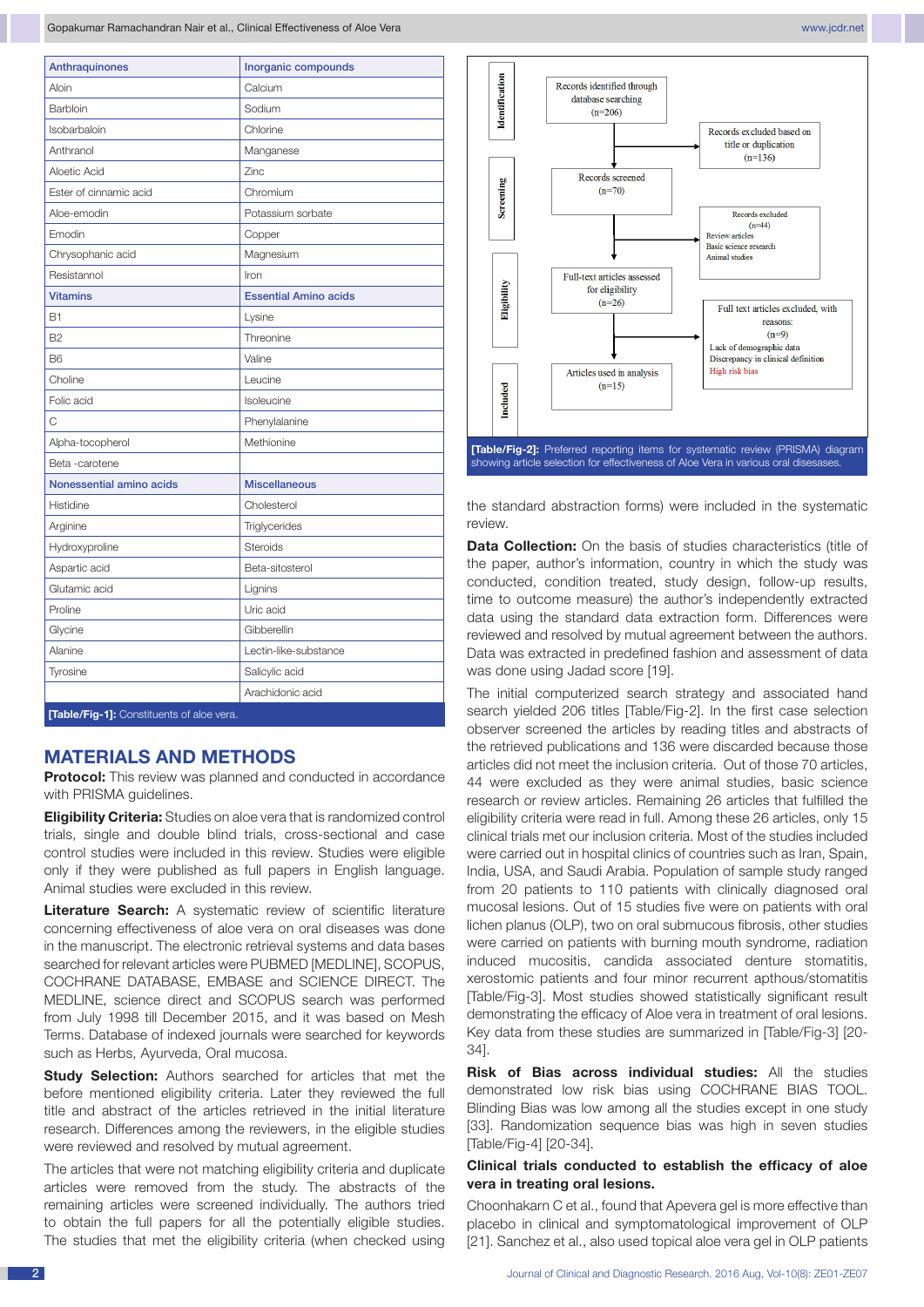| Anthraquinones           | Inorganic compounds          |
|--------------------------|------------------------------|
| Aloin                    | Calcium                      |
| Barbloin                 | Sodium                       |
| Isobarbaloin             | Chlorine                     |
| Anthranol                | Manganese                    |
| Aloetic Acid             | Zinc                         |
| Ester of cinnamic acid   | Chromium                     |
| Aloe-emodin              | Potassium sorbate            |
| Emodin                   | Copper                       |
| Chrysophanic acid        | Magnesium                    |
| Resistannol              | Iron                         |
| <b>Vitamins</b>          | <b>Essential Amino acids</b> |
| <b>B1</b>                | Lysine                       |
| <b>B2</b>                | Threonine                    |
| <b>B6</b>                | Valine                       |
| Choline                  | Leucine                      |
| Folic acid               | Isoleucine                   |
| C                        | Phenylalanine                |
| Alpha-tocopherol         | Methionine                   |
| Beta-carotene            |                              |
| Nonessential amino acids | <b>Miscellaneous</b>         |
| Histidine                | Cholesterol                  |
| Arginine                 | Triglycerides                |
| Hydroxyproline           | Steroids                     |
| Aspartic acid            | Beta-sitosterol              |
| Glutamic acid            | Lignins                      |
| Proline                  | Uric acid                    |
| Glycine                  | Gibberellin                  |
| Alanine                  | Lectin-like-substance        |
| Tyrosine                 | Salicylic acid               |
|                          | Arachidonic acid             |

#### **[Table/Fig-1]:** Constituents of aloe vera.

### **Materials and Methods**

**Protocol:** This review was planned and conducted in accordance with PRISMA guidelines.

**Eligibility Criteria:** Studies on aloe vera that is randomized control trials, single and double blind trials, cross-sectional and case control studies were included in this review. Studies were eligible only if they were published as full papers in English language. Animal studies were excluded in this review.

**Literature Search:** A systematic review of scientific literature concerning effectiveness of aloe vera on oral diseases was done in the manuscript. The electronic retrieval systems and data bases searched for relevant articles were PUBMED [MEDLINE], SCOPUS, COCHRANE DATABASE, EMBASE and SCIENCE DIRECT. The MEDLINE, science direct and SCOPUS search was performed from July 1998 till December 2015, and it was based on Mesh Terms. Database of indexed journals were searched for keywords such as Herbs, Ayurveda, Oral mucosa.

**Study Selection:** Authors searched for articles that met the before mentioned eligibility criteria. Later they reviewed the full title and abstract of the articles retrieved in the initial literature research. Differences among the reviewers, in the eligible studies were reviewed and resolved by mutual agreement.

The articles that were not matching eligibility criteria and duplicate articles were removed from the study. The abstracts of the remaining articles were screened individually. The authors tried to obtain the full papers for all the potentially eligible studies. The studies that met the eligibility criteria (when checked using



the standard abstraction forms) were included in the systematic review.

**Data Collection:** On the basis of studies characteristics (title of the paper, author's information, country in which the study was conducted, condition treated, study design, follow-up results, time to outcome measure) the author's independently extracted data using the standard data extraction form. Differences were reviewed and resolved by mutual agreement between the authors. Data was extracted in predefined fashion and assessment of data was done using Jadad score [19].

The initial computerized search strategy and associated hand search yielded 206 titles [Table/Fig-2]. In the first case selection observer screened the articles by reading titles and abstracts of the retrieved publications and 136 were discarded because those articles did not meet the inclusion criteria. Out of those 70 articles, 44 were excluded as they were animal studies, basic science research or review articles. Remaining 26 articles that fulfilled the eligibility criteria were read in full. Among these 26 articles, only 15 clinical trials met our inclusion criteria. Most of the studies included were carried out in hospital clinics of countries such as Iran, Spain, India, USA, and Saudi Arabia. Population of sample study ranged from 20 patients to 110 patients with clinically diagnosed oral mucosal lesions. Out of 15 studies five were on patients with oral lichen planus (OLP), two on oral submucous fibrosis, other studies were carried on patients with burning mouth syndrome, radiation induced mucositis, candida associated denture stomatitis, xerostomic patients and four minor recurrent apthous/stomatitis [Table/Fig-3]. Most studies showed statistically significant result demonstrating the efficacy of Aloe vera in treatment of oral lesions. Key data from these studies are summarized in [Table/Fig-3] [20- 34].

**Risk of Bias across individual studies:** All the studies demonstrated low risk bias using COCHRANE BIAS TOOL. Blinding Bias was low among all the studies except in one study [33]. Randomization sequence bias was high in seven studies [Table/Fig-4] [20-34].

#### **Clinical trials conducted to establish the efficacy of aloe vera in treating oral lesions.**

Choonhakarn C et al., found that Apevera gel is more effective than placebo in clinical and symptomatological improvement of OLP [21]. Sanchez et al., also used topical aloe vera gel in OLP patients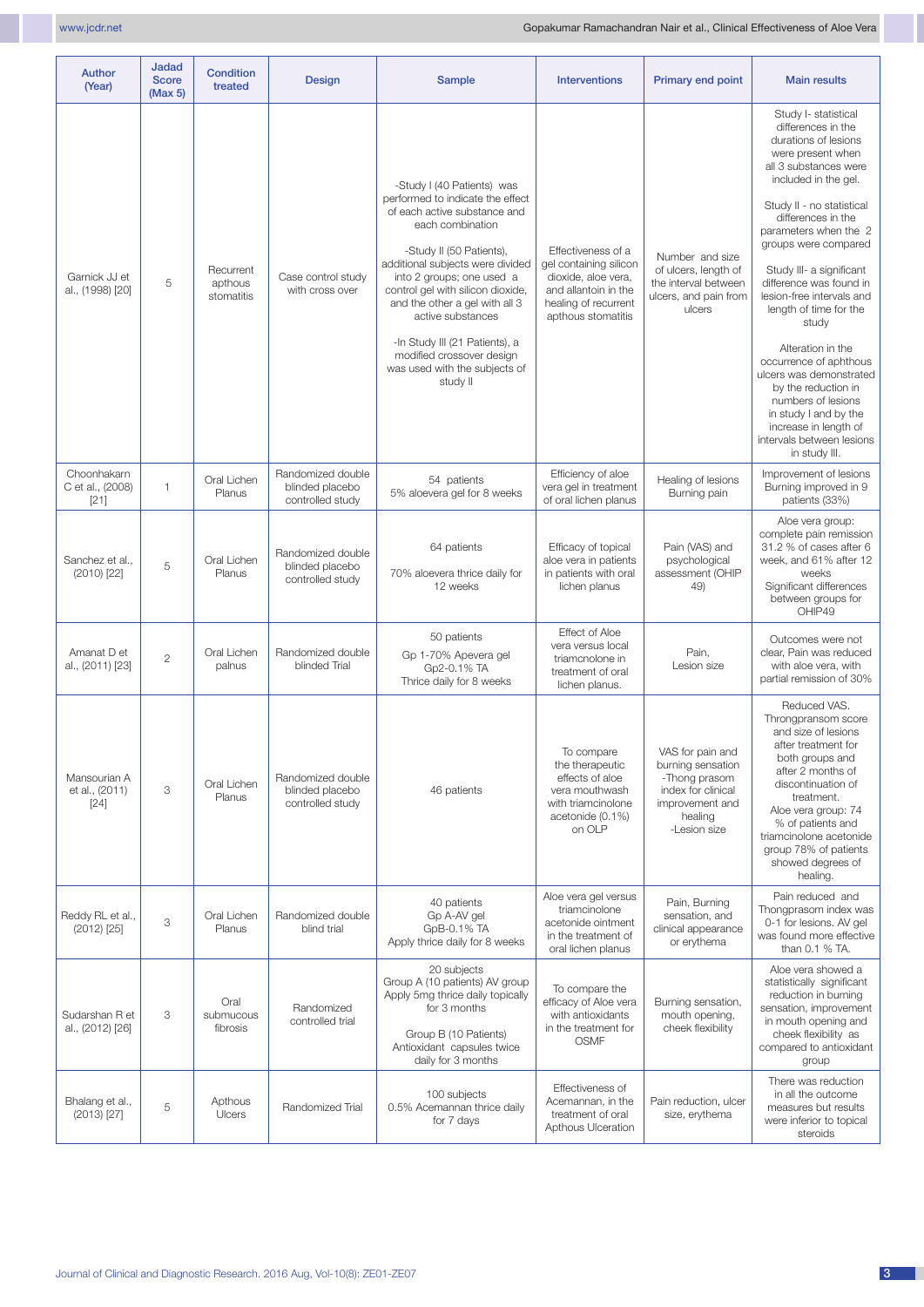| <b>Author</b><br>(Year)                   | Jadad<br><b>Score</b><br>(Max 5) | <b>Condition</b><br>treated        | Design                                                   | <b>Sample</b>                                                                                                                                                                                                                                                                                                                                                                                                           | <b>Interventions</b>                                                                                                                      | Primary end point                                                                                                          | <b>Main results</b>                                                                                                                                                                                                                                                                                                                                                                                                                                                                                                                                                                        |  |  |
|-------------------------------------------|----------------------------------|------------------------------------|----------------------------------------------------------|-------------------------------------------------------------------------------------------------------------------------------------------------------------------------------------------------------------------------------------------------------------------------------------------------------------------------------------------------------------------------------------------------------------------------|-------------------------------------------------------------------------------------------------------------------------------------------|----------------------------------------------------------------------------------------------------------------------------|--------------------------------------------------------------------------------------------------------------------------------------------------------------------------------------------------------------------------------------------------------------------------------------------------------------------------------------------------------------------------------------------------------------------------------------------------------------------------------------------------------------------------------------------------------------------------------------------|--|--|
| Garnick JJ et<br>al., (1998) [20]         | 5                                | Recurrent<br>apthous<br>stomatitis | Case control study<br>with cross over                    | -Study I (40 Patients) was<br>performed to indicate the effect<br>of each active substance and<br>each combination<br>-Study II (50 Patients),<br>additional subjects were divided<br>into 2 groups; one used a<br>control gel with silicon dioxide,<br>and the other a gel with all 3<br>active substances<br>-In Study III (21 Patients), a<br>modified crossover design<br>was used with the subjects of<br>study II | Effectiveness of a<br>gel containing silicon<br>dioxide, aloe vera,<br>and allantoin in the<br>healing of recurrent<br>apthous stomatitis | Number and size<br>of ulcers, length of<br>the interval between<br>ulcers, and pain from<br>ulcers                         | Study I- statistical<br>differences in the<br>durations of lesions<br>were present when<br>all 3 substances were<br>included in the gel.<br>Study II - no statistical<br>differences in the<br>parameters when the 2<br>groups were compared<br>Study III- a significant<br>difference was found in<br>lesion-free intervals and<br>length of time for the<br>study<br>Alteration in the<br>occurrence of aphthous<br>ulcers was demonstrated<br>by the reduction in<br>numbers of lesions<br>in study I and by the<br>increase in length of<br>intervals between lesions<br>in study III. |  |  |
| Choonhakarn<br>C et al., (2008)<br>$[21]$ | $\mathbf{1}$                     | Oral Lichen<br>Planus              | Randomized double<br>blinded placebo<br>controlled study | 54 patients<br>5% aloevera gel for 8 weeks                                                                                                                                                                                                                                                                                                                                                                              | Efficiency of aloe<br>vera gel in treatment<br>of oral lichen planus                                                                      | Healing of lesions<br>Burning pain                                                                                         | Improvement of lesions<br>Burning improved in 9<br>patients (33%)                                                                                                                                                                                                                                                                                                                                                                                                                                                                                                                          |  |  |
| Sanchez et al.,<br>$(2010)$ $[22]$        | 5                                | Oral Lichen<br>Planus              | Randomized double<br>blinded placebo<br>controlled study | 64 patients<br>70% aloevera thrice daily for<br>12 weeks                                                                                                                                                                                                                                                                                                                                                                | Efficacy of topical<br>aloe vera in patients<br>in patients with oral<br>lichen planus                                                    | Pain (VAS) and<br>psychological<br>assessment (OHIP<br>49)                                                                 | Aloe vera group:<br>complete pain remission<br>31.2 % of cases after 6<br>week, and 61% after 12<br>weeks<br>Significant differences<br>between groups for<br>OHIP49                                                                                                                                                                                                                                                                                                                                                                                                                       |  |  |
| Amanat D et<br>al., (2011) [23]           | $\overline{c}$                   | Oral Lichen<br>palnus              | Randomized double<br>blinded Trial                       | 50 patients<br>Gp 1-70% Apevera gel<br>Gp2-0.1% TA<br>Thrice daily for 8 weeks                                                                                                                                                                                                                                                                                                                                          | Effect of Aloe<br>vera versus local<br>triamcnolone in<br>treatment of oral<br>lichen planus.                                             | Pain,<br>Lesion size                                                                                                       | Outcomes were not<br>clear, Pain was reduced<br>with aloe vera, with<br>partial remission of 30%                                                                                                                                                                                                                                                                                                                                                                                                                                                                                           |  |  |
| Mansourian A<br>et al., (2011)<br>$[24]$  | 3                                | Oral Lichen<br>Planus              | Randomized double<br>blinded placebo<br>controlled study | 46 patients                                                                                                                                                                                                                                                                                                                                                                                                             | To compare<br>the therapeutic<br>effects of aloe<br>vera mouthwash<br>with triamcinolone<br>acetonide (0.1%)<br>on OLP                    | VAS for pain and<br>burning sensation<br>-Thong prasom<br>index for clinical<br>improvement and<br>healing<br>-Lesion size | Reduced VAS.<br>Throngpransom score<br>and size of lesions<br>after treatment for<br>both groups and<br>after 2 months of<br>discontinuation of<br>treatment.<br>Aloe vera group: 74<br>% of patients and<br>triamcinolone acetonide<br>group 78% of patients<br>showed degrees of<br>healing.                                                                                                                                                                                                                                                                                             |  |  |
| Reddy RL et al.,<br>$(2012)$ $[25]$       | 3                                | Oral Lichen<br>Planus              | Randomized double<br>blind trial                         | 40 patients<br>Gp A-AV gel<br>GpB-0.1% TA<br>Apply thrice daily for 8 weeks                                                                                                                                                                                                                                                                                                                                             | Aloe vera gel versus<br>triamcinolone<br>acetonide ointment<br>in the treatment of<br>oral lichen planus                                  | Pain, Burning<br>sensation, and<br>clinical appearance<br>or erythema                                                      | Pain reduced and<br>Thongprasom index was<br>0-1 for lesions. AV gel<br>was found more effective<br>than 0.1 % TA.                                                                                                                                                                                                                                                                                                                                                                                                                                                                         |  |  |
| Sudarshan R et<br>al., (2012) [26]        | 3                                | Oral<br>submucous<br>fibrosis      | Randomized<br>controlled trial                           | 20 subjects<br>Group A (10 patients) AV group<br>Apply 5mg thrice daily topically<br>for 3 months<br>Group B (10 Patients)<br>Antioxidant capsules twice<br>daily for 3 months                                                                                                                                                                                                                                          | To compare the<br>efficacy of Aloe vera<br>with antioxidants<br>in the treatment for<br><b>OSMF</b>                                       | Burning sensation,<br>mouth opening,<br>cheek flexibility                                                                  | Aloe vera showed a<br>statistically significant<br>reduction in burning<br>sensation, improvement<br>in mouth opening and<br>cheek flexibility as<br>compared to antioxidant<br>group                                                                                                                                                                                                                                                                                                                                                                                                      |  |  |
| Bhalang et al.,<br>$(2013)$ $[27]$        | 5                                | Apthous<br><b>Ulcers</b>           | Randomized Trial                                         | 100 subjects<br>0.5% Acemannan thrice daily<br>for 7 days                                                                                                                                                                                                                                                                                                                                                               | Effectiveness of<br>Acemannan, in the<br>treatment of oral<br>Apthous Ulceration                                                          | Pain reduction, ulcer<br>size, erythema                                                                                    | There was reduction<br>in all the outcome<br>measures but results<br>were inferior to topical<br>steroids                                                                                                                                                                                                                                                                                                                                                                                                                                                                                  |  |  |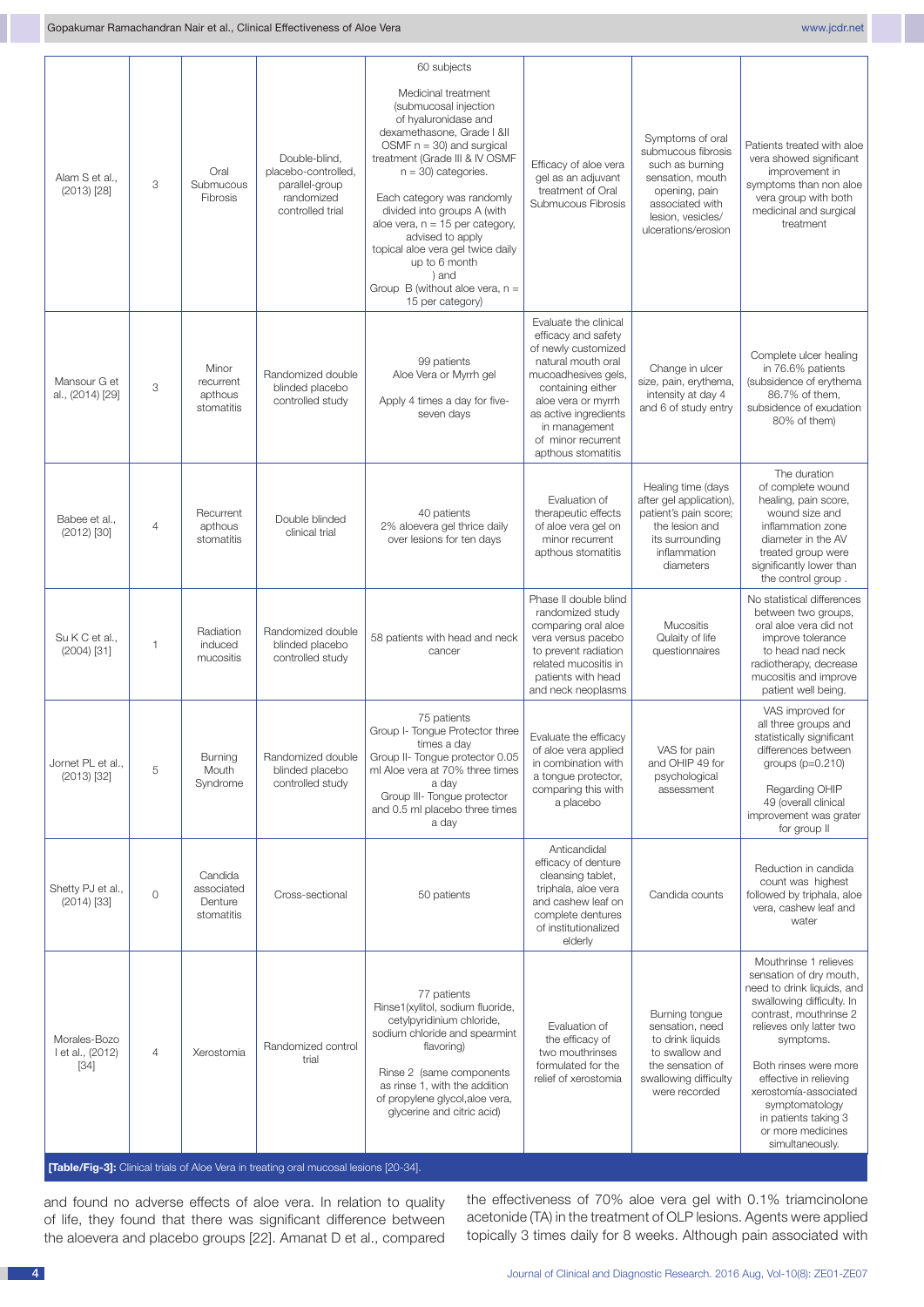|                                            |                |                                                |                                                                                          | 60 subjects                                                                                                                                                                                                                                                                                                                                                                                                                                  |                                                                                                                                                                                                                                                   |                                                                                                                                                               |                                                                                                                                                                                                                                                                                                                                              |
|--------------------------------------------|----------------|------------------------------------------------|------------------------------------------------------------------------------------------|----------------------------------------------------------------------------------------------------------------------------------------------------------------------------------------------------------------------------------------------------------------------------------------------------------------------------------------------------------------------------------------------------------------------------------------------|---------------------------------------------------------------------------------------------------------------------------------------------------------------------------------------------------------------------------------------------------|---------------------------------------------------------------------------------------------------------------------------------------------------------------|----------------------------------------------------------------------------------------------------------------------------------------------------------------------------------------------------------------------------------------------------------------------------------------------------------------------------------------------|
| Alam S et al.,<br>$(2013)$ $[28]$          | 3              | Oral<br>Submucous<br>Fibrosis                  | Double-blind,<br>placebo-controlled,<br>parallel-group<br>randomized<br>controlled trial | Medicinal treatment<br>(submucosal injection<br>of hyaluronidase and<br>dexamethasone, Grade   ≪<br>OSMF $n = 30$ ) and surgical<br>treatment (Grade III & IV OSMF<br>$n = 30$ ) categories.<br>Each category was randomly<br>divided into groups A (with<br>aloe vera, $n = 15$ per category,<br>advised to apply<br>topical aloe vera gel twice daily<br>up to 6 month<br>) and<br>Group $B$ (without aloe vera, $n =$<br>15 per category) | Efficacy of aloe vera<br>gel as an adjuvant<br>treatment of Oral<br>Submucous Fibrosis                                                                                                                                                            | Symptoms of oral<br>submucous fibrosis<br>such as burning<br>sensation, mouth<br>opening, pain<br>associated with<br>lesion, vesicles/<br>ulcerations/erosion | Patients treated with aloe<br>vera showed significant<br>improvement in<br>symptoms than non aloe<br>vera group with both<br>medicinal and surgical<br>treatment                                                                                                                                                                             |
| Mansour G et<br>al., (2014) [29]           | 3              | Minor<br>recurrent<br>apthous<br>stomatitis    | Randomized double<br>blinded placebo<br>controlled study                                 | 99 patients<br>Aloe Vera or Myrrh gel<br>Apply 4 times a day for five-<br>seven days                                                                                                                                                                                                                                                                                                                                                         | Evaluate the clinical<br>efficacy and safety<br>of newly customized<br>natural mouth oral<br>mucoadhesives gels,<br>containing either<br>aloe vera or myrrh<br>as active ingredients<br>in management<br>of minor recurrent<br>apthous stomatitis | Change in ulcer<br>size, pain, erythema,<br>intensity at day 4<br>and 6 of study entry                                                                        | Complete ulcer healing<br>in 76.6% patients<br>(subsidence of erythema<br>86.7% of them,<br>subsidence of exudation<br>80% of them)                                                                                                                                                                                                          |
| Babee et al.,<br>$(2012)$ [30]             | 4              | Recurrent<br>apthous<br>stomatitis             | Double blinded<br>clinical trial                                                         | 40 patients<br>2% aloevera gel thrice daily<br>over lesions for ten days                                                                                                                                                                                                                                                                                                                                                                     | Evaluation of<br>therapeutic effects<br>of aloe vera gel on<br>minor recurrent<br>apthous stomatitis                                                                                                                                              | Healing time (days<br>after gel application),<br>patient's pain score;<br>the lesion and<br>its surrounding<br>inflammation<br>diameters                      | The duration<br>of complete wound<br>healing, pain score,<br>wound size and<br>inflammation zone<br>diameter in the AV<br>treated group were<br>significantly lower than<br>the control group.                                                                                                                                               |
| Su K C et al.,<br>$(2004)$ [31]            | 1              | Radiation<br>induced<br>mucositis              | Randomized double<br>blinded placebo<br>controlled study                                 | 58 patients with head and neck<br>cancer                                                                                                                                                                                                                                                                                                                                                                                                     | Phase II double blind<br>randomized study<br>comparing oral aloe<br>vera versus pacebo<br>to prevent radiation<br>related mucositis in<br>patients with head<br>and neck neoplasms                                                                | <b>Mucositis</b><br>Qulaity of life<br>questionnaires                                                                                                         | No statistical differences<br>between two groups,<br>oral aloe vera did not<br>improve tolerance<br>to head nad neck<br>radiotherapy, decrease<br>mucositis and improve<br>patient well being.                                                                                                                                               |
| Jornet PL et al.,<br>$(2013)$ [32]         | 5              | <b>Burning</b><br>Mouth<br>Syndrome            | Randomized double<br>blinded placebo<br>controlled study                                 | 75 patients<br>Group I- Tonque Protector three<br>times a day<br>Group II- Tongue protector 0.05<br>ml Aloe vera at 70% three times<br>a day<br>Group III- Tongue protector<br>and 0.5 ml placebo three times<br>a day                                                                                                                                                                                                                       | Evaluate the efficacy<br>of aloe vera applied<br>in combination with<br>a tonque protector,<br>comparing this with<br>a placebo                                                                                                                   | VAS for pain<br>and OHIP 49 for<br>psychological<br>assessment                                                                                                | VAS improved for<br>all three groups and<br>statistically significant<br>differences between<br>groups $(p=0.210)$<br>Regarding OHIP<br>49 (overall clinical<br>improvement was grater<br>for group II                                                                                                                                       |
| Shetty PJ et al.,<br>$(2014)$ [33]         | $\circ$        | Candida<br>associated<br>Denture<br>stomatitis | Cross-sectional                                                                          | 50 patients                                                                                                                                                                                                                                                                                                                                                                                                                                  | Anticandidal<br>efficacy of denture<br>cleansing tablet,<br>triphala, aloe vera<br>and cashew leaf on<br>complete dentures<br>of institutionalized<br>elderly                                                                                     | Candida counts                                                                                                                                                | Reduction in candida<br>count was highest<br>followed by triphala, aloe<br>vera, cashew leaf and<br>water                                                                                                                                                                                                                                    |
| Morales-Bozo<br>I et al., (2012)<br>$[34]$ | $\overline{4}$ | Xerostomia                                     | Randomized control<br>trial                                                              | 77 patients<br>Rinse1(xylitol, sodium fluoride,<br>cetylpyridinium chloride,<br>sodium chloride and spearmint<br>flavoring)<br>Rinse 2 (same components<br>as rinse 1, with the addition<br>of propylene glycol, aloe vera,<br>glycerine and citric acid)                                                                                                                                                                                    | Evaluation of<br>the efficacy of<br>two mouthrinses<br>formulated for the<br>relief of xerostomia                                                                                                                                                 | Burning tongue<br>sensation, need<br>to drink liquids<br>to swallow and<br>the sensation of<br>swallowing difficulty<br>were recorded                         | Mouthrinse 1 relieves<br>sensation of dry mouth,<br>need to drink liquids, and<br>swallowing difficulty. In<br>contrast, mouthrinse 2<br>relieves only latter two<br>symptoms.<br>Both rinses were more<br>effective in relieving<br>xerostomía-associated<br>symptomatology<br>in patients taking 3<br>or more medicines<br>simultaneously. |

**[Table/Fig-3]:** Clinical trials of Aloe Vera in treating oral mucosal lesions [20-34].

and found no adverse effects of aloe vera. In relation to quality of life, they found that there was significant difference between the aloevera and placebo groups [22]. Amanat D et al., compared

the effectiveness of 70% aloe vera gel with 0.1% triamcinolone acetonide (TA) in the treatment of OLP lesions. Agents were applied topically 3 times daily for 8 weeks. Although pain associated with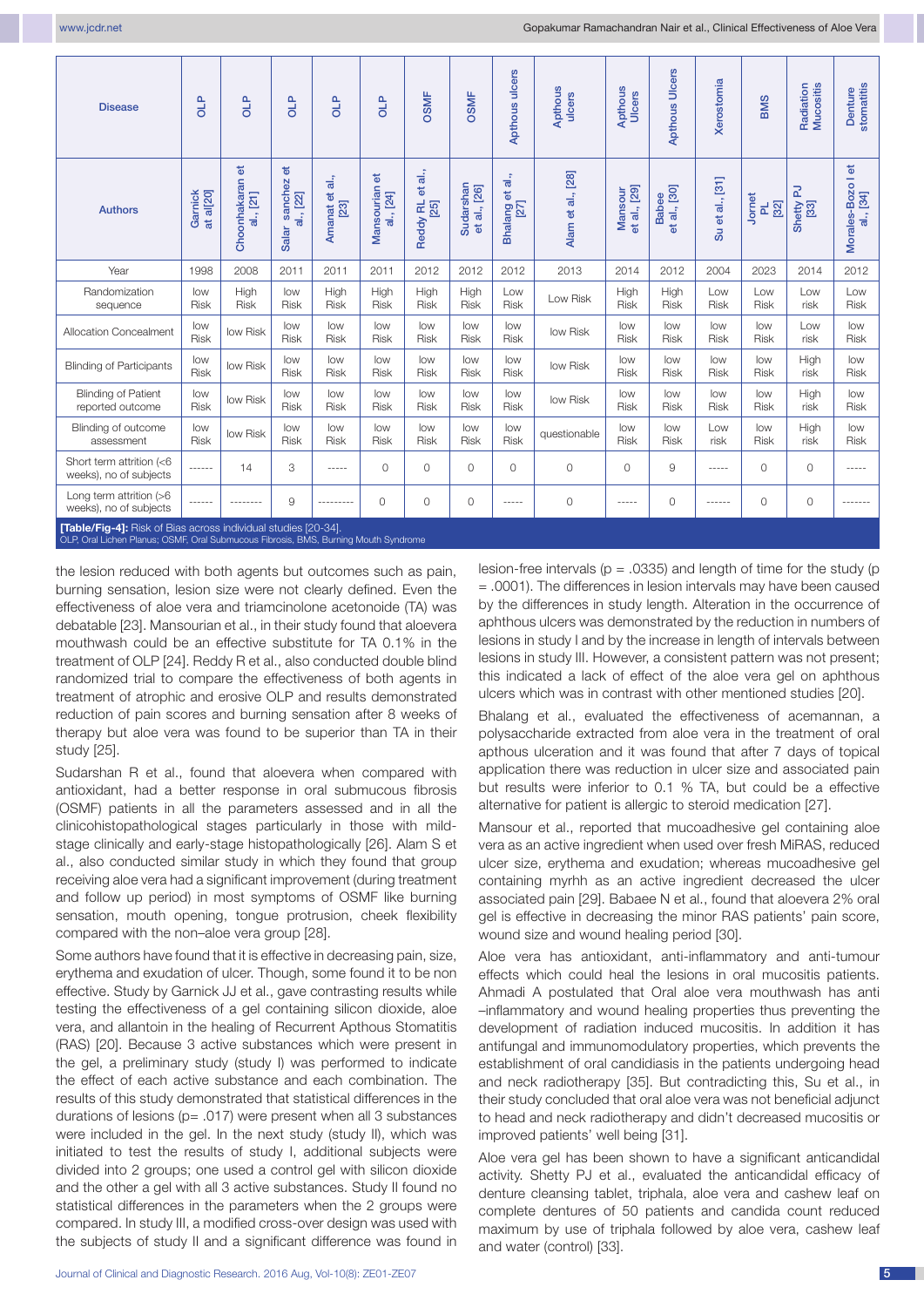| <b>Disease</b>                                                                                                                                        | <b>OLP</b>           | <b>ATO</b>                   | <b>P</b>                                  | <b>P</b>                      | <b>PUD</b>                   | OSMF                          | OSMF                      | Apthous ulcers               | Apthous<br>ulcers | Apthous<br>Ulcers       | <b>Apthous Ulcers</b>        | Xerostomia         | <b>SINS</b>           | Radiation<br>Mucositis | Denture<br>stomatitis          |
|-------------------------------------------------------------------------------------------------------------------------------------------------------|----------------------|------------------------------|-------------------------------------------|-------------------------------|------------------------------|-------------------------------|---------------------------|------------------------------|-------------------|-------------------------|------------------------------|--------------------|-----------------------|------------------------|--------------------------------|
| <b>Authors</b>                                                                                                                                        | Garnick<br>at al[20] | Choonhakaran et<br>al., [21] | đ<br>sanchez<br>al., [22]<br><b>Salar</b> | al.,<br>đ<br>$[23]$<br>Amanat | đ<br>Mansourian<br>al., [24] | al.,<br>ď<br>Reddy RL<br>[25] | Sudarshan<br>et al., [26] | ಕ,<br>đ<br>$[27]$<br>Bhalang | Alam et al., [28] | et al., [29]<br>Mansour | et al., [30]<br><b>Babee</b> | Su et al., [31]    | Jornet<br>$[32]$<br>군 | 2<br>Shetty<br>[33]    | Morales-Bozo I et<br>al., [34] |
| Year                                                                                                                                                  | 1998                 | 2008                         | 2011                                      | 2011                          | 2011                         | 2012                          | 2012                      | 2012                         | 2013              | 2014                    | 2012                         | 2004               | 2023                  | 2014                   | 2012                           |
| Randomization<br>sequence                                                                                                                             | low<br><b>Risk</b>   | High<br><b>Risk</b>          | low<br><b>Risk</b>                        | High<br><b>Risk</b>           | High<br>Risk                 | High<br><b>Risk</b>           | High<br><b>Risk</b>       | Low<br><b>Risk</b>           | Low Risk          | High<br><b>Risk</b>     | High<br><b>Risk</b>          | Low<br><b>Risk</b> | Low<br><b>Risk</b>    | Low<br>risk            | Low<br><b>Risk</b>             |
| <b>Allocation Concealment</b>                                                                                                                         | low<br>Risk          | low Risk                     | low<br><b>Risk</b>                        | low<br><b>Risk</b>            | low<br><b>Risk</b>           | low<br><b>Risk</b>            | low<br><b>Risk</b>        | low<br><b>Risk</b>           | low Risk          | low<br><b>Risk</b>      | low<br><b>Risk</b>           | low<br><b>Risk</b> | low<br><b>Risk</b>    | Low<br>risk            | low<br><b>Risk</b>             |
| <b>Blinding of Participants</b>                                                                                                                       | low<br>Risk          | low Risk                     | low<br><b>Risk</b>                        | low<br><b>Risk</b>            | low<br>Risk                  | low<br><b>Risk</b>            | low<br><b>Risk</b>        | low<br><b>Risk</b>           | low Risk          | low<br>Risk             | low<br><b>Risk</b>           | low<br><b>Risk</b> | low<br><b>Risk</b>    | High<br>risk           | low<br><b>Risk</b>             |
| <b>Blinding of Patient</b><br>reported outcome                                                                                                        | low<br><b>Risk</b>   | low Risk                     | low<br><b>Risk</b>                        | low<br><b>Risk</b>            | low<br>Risk                  | low<br><b>Risk</b>            | low<br><b>Risk</b>        | low<br><b>Risk</b>           | low Risk          | low<br>Risk             | low<br><b>Risk</b>           | low<br><b>Risk</b> | low<br><b>Risk</b>    | High<br>risk           | low<br><b>Risk</b>             |
| Blinding of outcome<br>assessment                                                                                                                     | low<br><b>Risk</b>   | low Risk                     | low<br><b>Risk</b>                        | low<br><b>Risk</b>            | low<br><b>Risk</b>           | low<br><b>Risk</b>            | low<br><b>Risk</b>        | low<br><b>Risk</b>           | questionable      | low<br>Risk             | low<br><b>Risk</b>           | Low<br>risk        | low<br><b>Risk</b>    | High<br>risk           | low<br><b>Risk</b>             |
| Short term attrition (<6<br>weeks), no of subjects                                                                                                    | ------               | 14                           | 3                                         | -----                         | $\Omega$                     | $\Omega$                      | $\Omega$                  | $\Omega$                     | $\circ$           | $\circ$                 | 9                            | $- - - - -$        | $\Omega$              | $\Omega$               | -----                          |
| Long term attrition $(>6$<br>weeks), no of subjects                                                                                                   | ------               | --------                     | 9                                         | ---------                     | 0                            | $\circ$                       | $\circ$                   | -----                        | $\circ$           | $- - - - -$             | 0                            | $- - - - - -$      | $\circ$               | 0                      | -------                        |
| [Table/Fig-4]: Risk of Bias across individual studies [20-34].<br>OLP, Oral Lichen Planus; OSMF, Oral Submucous Fibrosis, BMS, Burning Mouth Syndrome |                      |                              |                                           |                               |                              |                               |                           |                              |                   |                         |                              |                    |                       |                        |                                |

the lesion reduced with both agents but outcomes such as pain, burning sensation, lesion size were not clearly defined. Even the effectiveness of aloe vera and triamcinolone acetonoide (TA) was debatable [23]. Mansourian et al., in their study found that aloevera mouthwash could be an effective substitute for TA 0.1% in the treatment of OLP [24]. Reddy R et al., also conducted double blind randomized trial to compare the effectiveness of both agents in treatment of atrophic and erosive OLP and results demonstrated reduction of pain scores and burning sensation after 8 weeks of therapy but aloe vera was found to be superior than TA in their study [25].

Sudarshan R et al., found that aloevera when compared with antioxidant, had a better response in oral submucous fibrosis (OSMF) patients in all the parameters assessed and in all the clinicohistopathological stages particularly in those with mildstage clinically and early-stage histopathologically [26]. Alam S et al., also conducted similar study in which they found that group receiving aloe vera had a significant improvement (during treatment and follow up period) in most symptoms of OSMF like burning sensation, mouth opening, tongue protrusion, cheek flexibility compared with the non–aloe vera group [28].

Some authors have found that it is effective in decreasing pain, size, erythema and exudation of ulcer. Though, some found it to be non effective. Study by Garnick JJ et al., gave contrasting results while testing the effectiveness of a gel containing silicon dioxide, aloe vera, and allantoin in the healing of Recurrent Apthous Stomatitis (RAS) [20]. Because 3 active substances which were present in the gel, a preliminary study (study I) was performed to indicate the effect of each active substance and each combination. The results of this study demonstrated that statistical differences in the durations of lesions (p= .017) were present when all 3 substances were included in the gel. In the next study (study II), which was initiated to test the results of study I, additional subjects were divided into 2 groups; one used a control gel with silicon dioxide and the other a gel with all 3 active substances. Study II found no statistical differences in the parameters when the 2 groups were compared. In study III, a modified cross-over design was used with the subjects of study II and a significant difference was found in lesion-free intervals ( $p = .0335$ ) and length of time for the study ( $p$ = .0001). The differences in lesion intervals may have been caused by the differences in study length. Alteration in the occurrence of aphthous ulcers was demonstrated by the reduction in numbers of lesions in study I and by the increase in length of intervals between lesions in study III. However, a consistent pattern was not present; this indicated a lack of effect of the aloe vera gel on aphthous ulcers which was in contrast with other mentioned studies [20].

Bhalang et al., evaluated the effectiveness of acemannan, a polysaccharide extracted from aloe vera in the treatment of oral apthous ulceration and it was found that after 7 days of topical application there was reduction in ulcer size and associated pain but results were inferior to 0.1 % TA, but could be a effective alternative for patient is allergic to steroid medication [27].

Mansour et al., reported that mucoadhesive gel containing aloe vera as an active ingredient when used over fresh MiRAS, reduced ulcer size, erythema and exudation; whereas mucoadhesive gel containing myrhh as an active ingredient decreased the ulcer associated pain [29]. Babaee N et al., found that aloevera 2% oral gel is effective in decreasing the minor RAS patients' pain score, wound size and wound healing period [30].

Aloe vera has antioxidant, anti-inflammatory and anti-tumour effects which could heal the lesions in oral mucositis patients. Ahmadi A postulated that Oral aloe vera mouthwash has anti –inflammatory and wound healing properties thus preventing the development of radiation induced mucositis. In addition it has antifungal and immunomodulatory properties, which prevents the establishment of oral candidiasis in the patients undergoing head and neck radiotherapy [35]. But contradicting this, Su et al., in their study concluded that oral aloe vera was not beneficial adjunct to head and neck radiotherapy and didn't decreased mucositis or improved patients' well being [31].

Aloe vera gel has been shown to have a significant anticandidal activity. Shetty PJ et al., evaluated the anticandidal efficacy of denture cleansing tablet, triphala, aloe vera and cashew leaf on complete dentures of 50 patients and candida count reduced maximum by use of triphala followed by aloe vera, cashew leaf and water (control) [33].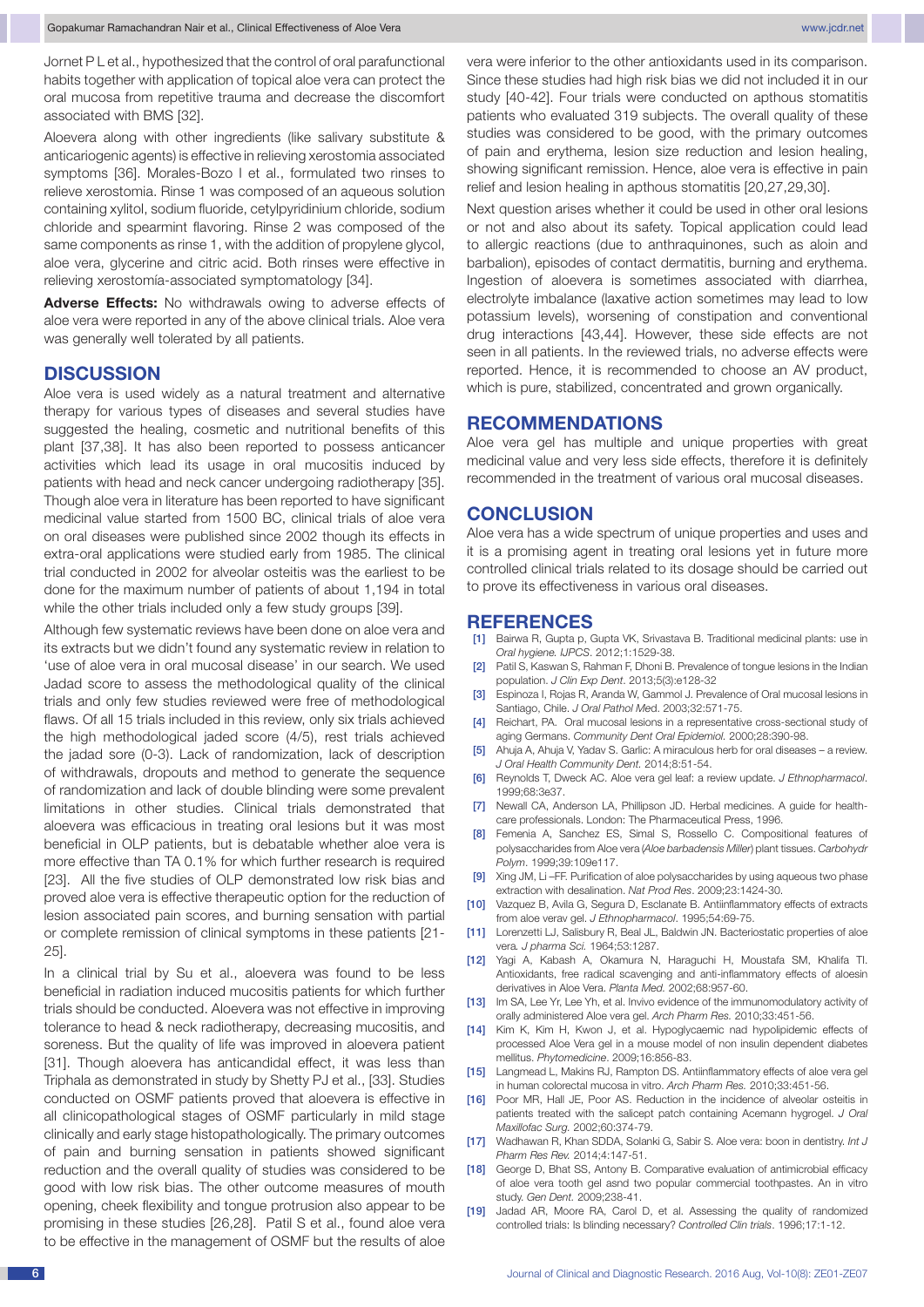Jornet P L et al., hypothesized that the control of oral parafunctional habits together with application of topical aloe vera can protect the oral mucosa from repetitive trauma and decrease the discomfort associated with BMS [32].

Aloevera along with other ingredients (like salivary substitute & anticariogenic agents) is effective in relieving xerostomia associated symptoms [36]. Morales-Bozo I et al., formulated two rinses to relieve xerostomia. Rinse 1 was composed of an aqueous solution containing xylitol, sodium fluoride, cetylpyridinium chloride, sodium chloride and spearmint flavoring. Rinse 2 was composed of the same components as rinse 1, with the addition of propylene glycol, aloe vera, glycerine and citric acid. Both rinses were effective in relieving xerostomía-associated symptomatology [34].

Adverse Effects: No withdrawals owing to adverse effects of aloe vera were reported in any of the above clinical trials. Aloe vera was generally well tolerated by all patients.

#### **Discussion**

Aloe vera is used widely as a natural treatment and alternative therapy for various types of diseases and several studies have suggested the healing, cosmetic and nutritional benefits of this plant [37,38]. It has also been reported to possess anticancer activities which lead its usage in oral mucositis induced by patients with head and neck cancer undergoing radiotherapy [35]. Though aloe vera in literature has been reported to have significant medicinal value started from 1500 BC, clinical trials of aloe vera on oral diseases were published since 2002 though its effects in extra-oral applications were studied early from 1985. The clinical trial conducted in 2002 for alveolar osteitis was the earliest to be done for the maximum number of patients of about 1,194 in total while the other trials included only a few study groups [39].

Although few systematic reviews have been done on aloe vera and its extracts but we didn't found any systematic review in relation to 'use of aloe vera in oral mucosal disease' in our search. We used Jadad score to assess the methodological quality of the clinical trials and only few studies reviewed were free of methodological flaws. Of all 15 trials included in this review, only six trials achieved the high methodological jaded score (4/5), rest trials achieved the jadad sore (0-3). Lack of randomization, lack of description of withdrawals, dropouts and method to generate the sequence of randomization and lack of double blinding were some prevalent limitations in other studies. Clinical trials demonstrated that aloevera was efficacious in treating oral lesions but it was most beneficial in OLP patients, but is debatable whether aloe vera is more effective than TA 0.1% for which further research is required [23]. All the five studies of OLP demonstrated low risk bias and proved aloe vera is effective therapeutic option for the reduction of lesion associated pain scores, and burning sensation with partial or complete remission of clinical symptoms in these patients [21- 25].

In a clinical trial by Su et al., aloevera was found to be less beneficial in radiation induced mucositis patients for which further trials should be conducted. Aloevera was not effective in improving tolerance to head & neck radiotherapy, decreasing mucositis, and soreness. But the quality of life was improved in aloevera patient [31]. Though aloevera has anticandidal effect, it was less than Triphala as demonstrated in study by Shetty PJ et al., [33]. Studies conducted on OSMF patients proved that aloevera is effective in all clinicopathological stages of OSMF particularly in mild stage clinically and early stage histopathologically. The primary outcomes of pain and burning sensation in patients showed significant reduction and the overall quality of studies was considered to be good with low risk bias. The other outcome measures of mouth opening, cheek flexibility and tongue protrusion also appear to be promising in these studies [26,28]. Patil S et al., found aloe vera to be effective in the management of OSMF but the results of aloe

vera were inferior to the other antioxidants used in its comparison. Since these studies had high risk bias we did not included it in our study [40-42]. Four trials were conducted on apthous stomatitis patients who evaluated 319 subjects. The overall quality of these studies was considered to be good, with the primary outcomes of pain and erythema, lesion size reduction and lesion healing, showing significant remission. Hence, aloe vera is effective in pain relief and lesion healing in apthous stomatitis [20,27,29,30].

Next question arises whether it could be used in other oral lesions or not and also about its safety. Topical application could lead to allergic reactions (due to anthraquinones, such as aloin and barbalion), episodes of contact dermatitis, burning and erythema. Ingestion of aloevera is sometimes associated with diarrhea, electrolyte imbalance (laxative action sometimes may lead to low potassium levels), worsening of constipation and conventional drug interactions [43,44]. However, these side effects are not seen in all patients. In the reviewed trials, no adverse effects were reported. Hence, it is recommended to choose an AV product, which is pure, stabilized, concentrated and grown organically.

# **RECOMMENDATIONS**

Aloe vera gel has multiple and unique properties with great medicinal value and very less side effects, therefore it is definitely recommended in the treatment of various oral mucosal diseases.

#### **CONCLUSION**

Aloe vera has a wide spectrum of unique properties and uses and it is a promising agent in treating oral lesions yet in future more controlled clinical trials related to its dosage should be carried out to prove its effectiveness in various oral diseases.

#### **References**

- [1] Bairwa R, Gupta p, Gupta VK, Srivastava B. Traditional medicinal plants: use in *Oral hygiene. IJPCS*. 2012;1:1529-38.
- [2] Patil S, Kaswan S, Rahman F, Dhoni B. Prevalence of tongue lesions in the Indian population. *J Clin Exp Dent*. 2013;5(3):e128-32
- [3] Espinoza I, Rojas R, Aranda W, Gammol J. Prevalence of Oral mucosal lesions in Santiago, Chile. *J Oral Pathol Me*d. 2003;32:571-75.
- Reichart, PA. Oral mucosal lesions in a representative cross-sectional study of aging Germans. *Community Dent Oral Epidemiol.* 2000;28:390-98.
- [5] Ahuja A, Ahuja V, Yadav S. Garlic: A miraculous herb for oral diseases a review. *J Oral Health Community Dent.* 2014;8:51-54.
- [6] Reynolds T, Dweck AC. Aloe vera gel leaf: a review update. *J Ethnopharmacol*. 1999;68:3e37.
- [7] Newall CA, Anderson LA, Phillipson JD. Herbal medicines. A guide for healthcare professionals. London: The Pharmaceutical Press, 1996.
- [8] Femenia A, Sanchez ES, Simal S, Rossello C. Compositional features of polysaccharides from Aloe vera (*Aloe barbadensis Miller*) plant tissues. *Carbohydr Polym*. 1999;39:109e117.
- [9] Xing JM, Li –FF. Purification of aloe polysaccharides by using aqueous two phase extraction with desalination. *Nat Prod Res*. 2009;23:1424-30.
- [10] Vazquez B, Avila G, Segura D, Esclanate B. Antiinflammatory effects of extracts from aloe verav gel. *J Ethnopharmacol*. 1995;54:69-75.
- [11] Lorenzetti LJ, Salisbury R, Beal JL, Baldwin JN. Bacteriostatic properties of aloe vera*. J pharma Sci.* 1964;53:1287.
- [12] Yagi A, Kabash A, Okamura N, Haraguchi H, Moustafa SM, Khalifa TI. Antioxidants, free radical scavenging and anti-inflammatory effects of aloesin derivatives in Aloe Vera. *Planta Med.* 2002;68:957-60.
- [13] Im SA, Lee Yr, Lee Yh, et al. Invivo evidence of the immunomodulatory activity of orally administered Aloe vera gel. *Arch Pharm Res.* 2010;33:451-56.
- [14] Kim K, Kim H, Kwon J, et al. Hypoglycaemic nad hypolipidemic effects of processed Aloe Vera gel in a mouse model of non insulin dependent diabetes mellitus. *Phytomedicine*. 2009;16:856-83.
- [15] Langmead L, Makins RJ, Rampton DS. Antiinflammatory effects of aloe vera gel in human colorectal mucosa in vitro. *Arch Pharm Res.* 2010;33:451-56.
- [16] Poor MR, Hall JE, Poor AS. Reduction in the incidence of alveolar osteitis in patients treated with the salicept patch containing Acemann hygrogel. *J Oral Maxillofac Surg.* 2002;60:374-79.
- [17] Wadhawan R, Khan SDDA, Solanki G, Sabir S. Aloe vera: boon in dentistry. *Int J Pharm Res Rev.* 2014;4:147-51.
- [18] George D, Bhat SS, Antony B. Comparative evaluation of antimicrobial efficacy of aloe vera tooth gel asnd two popular commercial toothpastes. An in vitro study. *Gen Dent.* 2009;238-41.
- [19] Jadad AR, Moore RA, Carol D, et al. Assessing the quality of randomized controlled trials: Is blinding necessary? *Controlled Clin trials*. 1996;17:1-12.